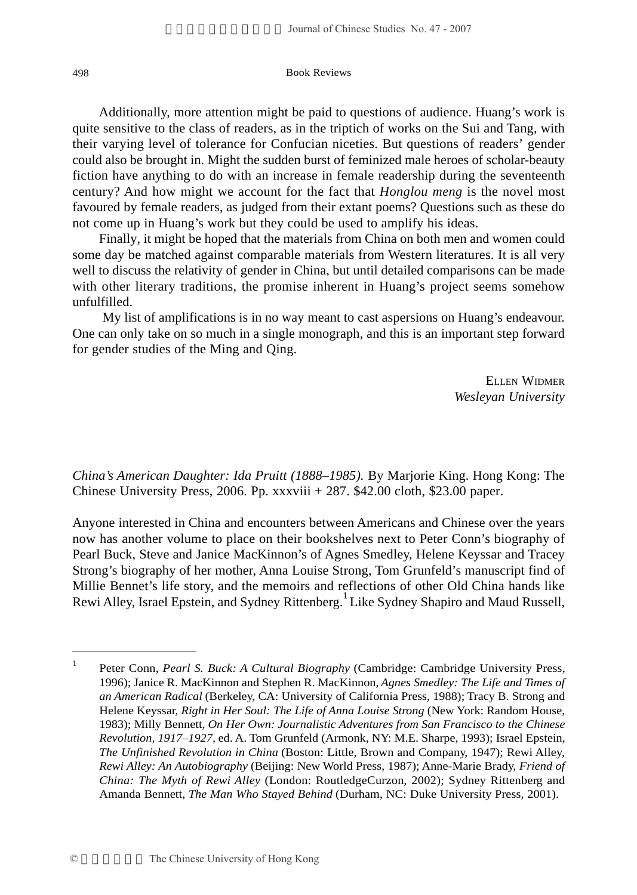Additionally, more attention might be paid to questions of audience. Huang's work is quite sensitive to the class of readers, as in the triptich of works on the Sui and Tang, with their varying level of tolerance for Confucian niceties. But questions of readers' gender could also be brought in. Might the sudden burst of feminized male heroes of scholar-beauty fiction have anything to do with an increase in female readership during the seventeenth century? And how might we account for the fact that *Honglou meng* is the novel most favoured by female readers, as judged from their extant poems? Questions such as these do not come up in Huang's work but they could be used to amplify his ideas.

Finally, it might be hoped that the materials from China on both men and women could some day be matched against comparable materials from Western literatures. It is all very well to discuss the relativity of gender in China, but until detailed comparisons can be made with other literary traditions, the promise inherent in Huang's project seems somehow unfulfilled.

 My list of amplifications is in no way meant to cast aspersions on Huang's endeavour. One can only take on so much in a single monograph, and this is an important step forward for gender studies of the Ming and Qing.

> ELLEN WIDMER *Wesleyan University*

*China's American Daughter: Ida Pruitt (1888–1985).* By Marjorie King. Hong Kong: The Chinese University Press, 2006. Pp. xxxviii + 287. \$42.00 cloth, \$23.00 paper.

Anyone interested in China and encounters between Americans and Chinese over the years now has another volume to place on their bookshelves next to Peter Conn's biography of Pearl Buck, Steve and Janice MacKinnon's of Agnes Smedley, Helene Keyssar and Tracey Strong's biography of her mother, Anna Louise Strong, Tom Grunfeld's manuscript find of Millie Bennet's life story, and the memoirs and reflections of other Old China hands like Rewi Alley, Israel Epstein, and Sydney Rittenberg.<sup>1</sup> Like Sydney Shapiro and Maud Russell,

<sup>&</sup>lt;sup>1</sup> Peter Conn, *Pearl S. Buck: A Cultural Biography* (Cambridge: Cambridge University Press, 1996); Janice R. MacKinnon and Stephen R. MacKinnon, *Agnes Smedley: The Life and Times of an American Radical* (Berkeley, CA: University of California Press, 1988); Tracy B. Strong and Helene Keyssar, *Right in Her Soul: The Life of Anna Louise Strong* (New York: Random House, 1983); Milly Bennett, *On Her Own: Journalistic Adventures from San Francisco to the Chinese Revolution, 1917–1927,* ed. A. Tom Grunfeld (Armonk, NY: M.E. Sharpe, 1993); Israel Epstein, *The Unfinished Revolution in China* (Boston: Little, Brown and Company, 1947); Rewi Alley, *Rewi Alley: An Autobiography* (Beijing: New World Press, 1987); Anne-Marie Brady, *Friend of China: The Myth of Rewi Alley* (London: RoutledgeCurzon, 2002); Sydney Rittenberg and Amanda Bennett, *The Man Who Stayed Behind* (Durham, NC: Duke University Press, 2001).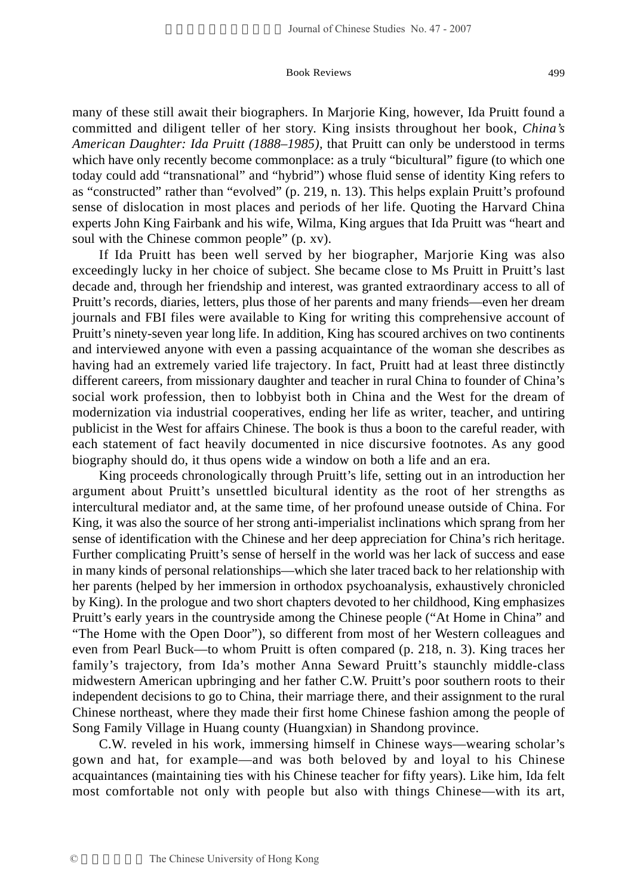many of these still await their biographers. In Marjorie King, however, Ida Pruitt found a committed and diligent teller of her story. King insists throughout her book, *China's American Daughter: Ida Pruitt (1888–1985),* that Pruitt can only be understood in terms which have only recently become commonplace: as a truly "bicultural" figure (to which one today could add "transnational" and "hybrid") whose fluid sense of identity King refers to as "constructed" rather than "evolved" (p. 219, n. 13). This helps explain Pruitt's profound sense of dislocation in most places and periods of her life. Quoting the Harvard China experts John King Fairbank and his wife, Wilma, King argues that Ida Pruitt was "heart and soul with the Chinese common people" (p. xv).

If Ida Pruitt has been well served by her biographer, Marjorie King was also exceedingly lucky in her choice of subject. She became close to Ms Pruitt in Pruitt's last decade and, through her friendship and interest, was granted extraordinary access to all of Pruitt's records, diaries, letters, plus those of her parents and many friends—even her dream journals and FBI files were available to King for writing this comprehensive account of Pruitt's ninety-seven year long life. In addition, King has scoured archives on two continents and interviewed anyone with even a passing acquaintance of the woman she describes as having had an extremely varied life trajectory. In fact, Pruitt had at least three distinctly different careers, from missionary daughter and teacher in rural China to founder of China's social work profession, then to lobbyist both in China and the West for the dream of modernization via industrial cooperatives, ending her life as writer, teacher, and untiring publicist in the West for affairs Chinese. The book is thus a boon to the careful reader, with each statement of fact heavily documented in nice discursive footnotes. As any good biography should do, it thus opens wide a window on both a life and an era.

King proceeds chronologically through Pruitt's life, setting out in an introduction her argument about Pruitt's unsettled bicultural identity as the root of her strengths as intercultural mediator and, at the same time, of her profound unease outside of China. For King, it was also the source of her strong anti-imperialist inclinations which sprang from her sense of identification with the Chinese and her deep appreciation for China's rich heritage. Further complicating Pruitt's sense of herself in the world was her lack of success and ease in many kinds of personal relationships—which she later traced back to her relationship with her parents (helped by her immersion in orthodox psychoanalysis, exhaustively chronicled by King). In the prologue and two short chapters devoted to her childhood, King emphasizes Pruitt's early years in the countryside among the Chinese people ("At Home in China" and "The Home with the Open Door"), so different from most of her Western colleagues and even from Pearl Buck—to whom Pruitt is often compared (p. 218, n. 3). King traces her family's trajectory, from Ida's mother Anna Seward Pruitt's staunchly middle-class midwestern American upbringing and her father C.W. Pruitt's poor southern roots to their independent decisions to go to China, their marriage there, and their assignment to the rural Chinese northeast, where they made their first home Chinese fashion among the people of Song Family Village in Huang county (Huangxian) in Shandong province.

C.W. reveled in his work, immersing himself in Chinese ways—wearing scholar's gown and hat, for example—and was both beloved by and loyal to his Chinese acquaintances (maintaining ties with his Chinese teacher for fifty years). Like him, Ida felt most comfortable not only with people but also with things Chinese—with its art,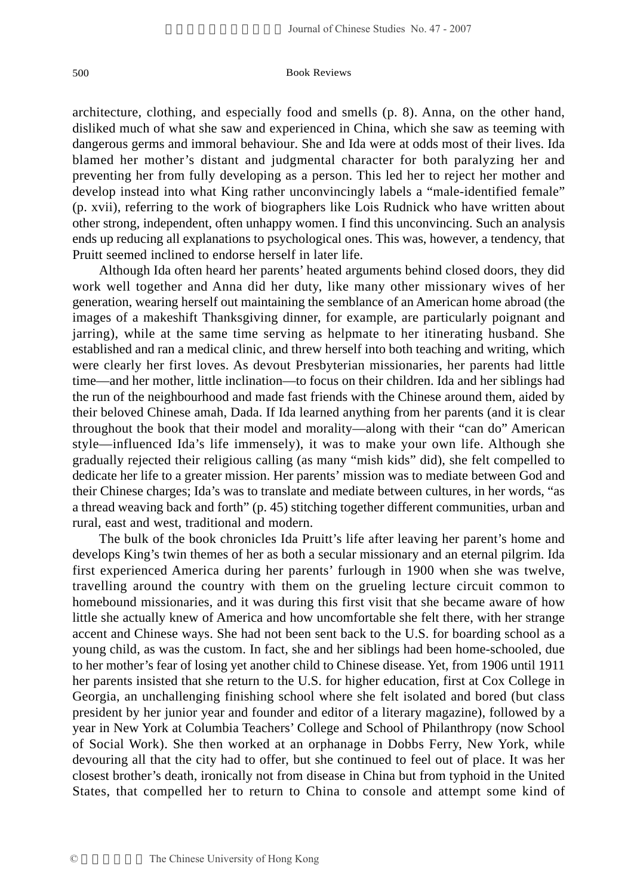architecture, clothing, and especially food and smells (p. 8). Anna, on the other hand, disliked much of what she saw and experienced in China, which she saw as teeming with dangerous germs and immoral behaviour. She and Ida were at odds most of their lives. Ida blamed her mother's distant and judgmental character for both paralyzing her and preventing her from fully developing as a person. This led her to reject her mother and develop instead into what King rather unconvincingly labels a "male-identified female" (p. xvii), referring to the work of biographers like Lois Rudnick who have written about other strong, independent, often unhappy women. I find this unconvincing. Such an analysis ends up reducing all explanations to psychological ones. This was, however, a tendency, that Pruitt seemed inclined to endorse herself in later life.

Although Ida often heard her parents' heated arguments behind closed doors, they did work well together and Anna did her duty, like many other missionary wives of her generation, wearing herself out maintaining the semblance of an American home abroad (the images of a makeshift Thanksgiving dinner, for example, are particularly poignant and jarring), while at the same time serving as helpmate to her itinerating husband. She established and ran a medical clinic, and threw herself into both teaching and writing, which were clearly her first loves. As devout Presbyterian missionaries, her parents had little time—and her mother, little inclination—to focus on their children. Ida and her siblings had the run of the neighbourhood and made fast friends with the Chinese around them, aided by their beloved Chinese amah, Dada. If Ida learned anything from her parents (and it is clear throughout the book that their model and morality—along with their "can do" American style—influenced Ida's life immensely), it was to make your own life. Although she gradually rejected their religious calling (as many "mish kids" did), she felt compelled to dedicate her life to a greater mission. Her parents' mission was to mediate between God and their Chinese charges; Ida's was to translate and mediate between cultures, in her words, "as a thread weaving back and forth" (p. 45) stitching together different communities, urban and rural, east and west, traditional and modern.

The bulk of the book chronicles Ida Pruitt's life after leaving her parent's home and develops King's twin themes of her as both a secular missionary and an eternal pilgrim. Ida first experienced America during her parents' furlough in 1900 when she was twelve, travelling around the country with them on the grueling lecture circuit common to homebound missionaries, and it was during this first visit that she became aware of how little she actually knew of America and how uncomfortable she felt there, with her strange accent and Chinese ways. She had not been sent back to the U.S. for boarding school as a young child, as was the custom. In fact, she and her siblings had been home-schooled, due to her mother's fear of losing yet another child to Chinese disease. Yet, from 1906 until 1911 her parents insisted that she return to the U.S. for higher education, first at Cox College in Georgia, an unchallenging finishing school where she felt isolated and bored (but class president by her junior year and founder and editor of a literary magazine), followed by a year in New York at Columbia Teachers' College and School of Philanthropy (now School of Social Work). She then worked at an orphanage in Dobbs Ferry, New York, while devouring all that the city had to offer, but she continued to feel out of place. It was her closest brother's death, ironically not from disease in China but from typhoid in the United States, that compelled her to return to China to console and attempt some kind of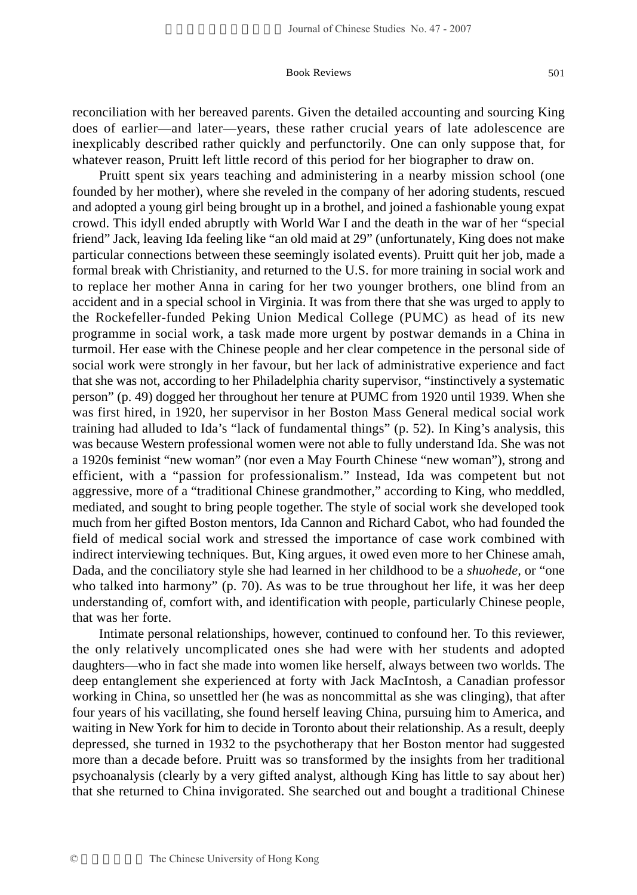reconciliation with her bereaved parents. Given the detailed accounting and sourcing King does of earlier—and later—years, these rather crucial years of late adolescence are inexplicably described rather quickly and perfunctorily. One can only suppose that, for whatever reason, Pruitt left little record of this period for her biographer to draw on.

Pruitt spent six years teaching and administering in a nearby mission school (one founded by her mother), where she reveled in the company of her adoring students, rescued and adopted a young girl being brought up in a brothel, and joined a fashionable young expat crowd. This idyll ended abruptly with World War I and the death in the war of her "special friend" Jack, leaving Ida feeling like "an old maid at 29" (unfortunately, King does not make particular connections between these seemingly isolated events). Pruitt quit her job, made a formal break with Christianity, and returned to the U.S. for more training in social work and to replace her mother Anna in caring for her two younger brothers, one blind from an accident and in a special school in Virginia. It was from there that she was urged to apply to the Rockefeller-funded Peking Union Medical College (PUMC) as head of its new programme in social work, a task made more urgent by postwar demands in a China in turmoil. Her ease with the Chinese people and her clear competence in the personal side of social work were strongly in her favour, but her lack of administrative experience and fact that she was not, according to her Philadelphia charity supervisor, "instinctively a systematic person" (p. 49) dogged her throughout her tenure at PUMC from 1920 until 1939. When she was first hired, in 1920, her supervisor in her Boston Mass General medical social work training had alluded to Ida's "lack of fundamental things" (p. 52). In King's analysis, this was because Western professional women were not able to fully understand Ida. She was not a 1920s feminist "new woman" (nor even a May Fourth Chinese "new woman"), strong and efficient, with a "passion for professionalism." Instead, Ida was competent but not aggressive, more of a "traditional Chinese grandmother," according to King, who meddled, mediated, and sought to bring people together. The style of social work she developed took much from her gifted Boston mentors, Ida Cannon and Richard Cabot, who had founded the field of medical social work and stressed the importance of case work combined with indirect interviewing techniques. But, King argues, it owed even more to her Chinese amah, Dada, and the conciliatory style she had learned in her childhood to be a *shuohede,* or "one who talked into harmony" (p. 70). As was to be true throughout her life, it was her deep understanding of, comfort with, and identification with people, particularly Chinese people, that was her forte.

Intimate personal relationships, however, continued to confound her. To this reviewer, the only relatively uncomplicated ones she had were with her students and adopted daughters—who in fact she made into women like herself, always between two worlds. The deep entanglement she experienced at forty with Jack MacIntosh, a Canadian professor working in China, so unsettled her (he was as noncommittal as she was clinging), that after four years of his vacillating, she found herself leaving China, pursuing him to America, and waiting in New York for him to decide in Toronto about their relationship. As a result, deeply depressed, she turned in 1932 to the psychotherapy that her Boston mentor had suggested more than a decade before. Pruitt was so transformed by the insights from her traditional psychoanalysis (clearly by a very gifted analyst, although King has little to say about her) that she returned to China invigorated. She searched out and bought a traditional Chinese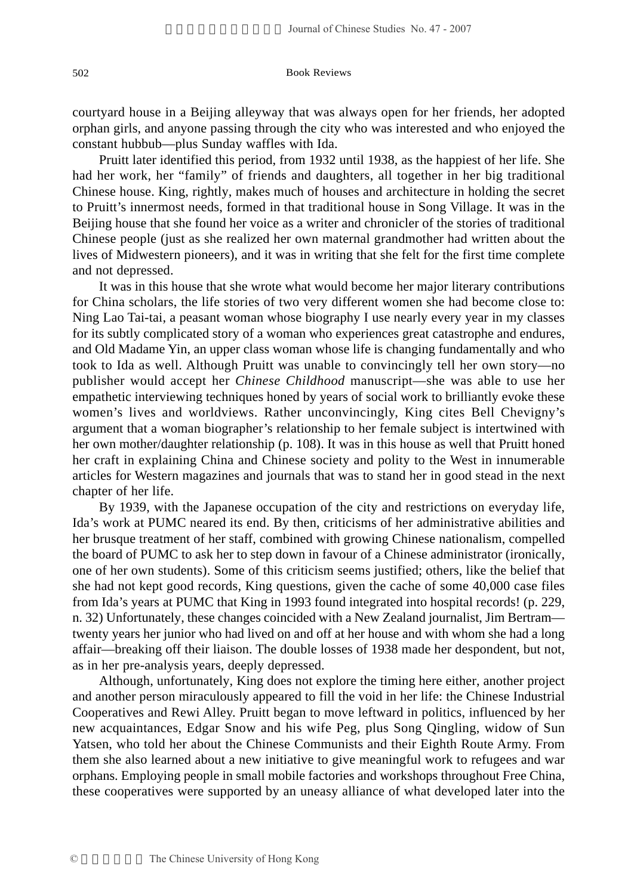courtyard house in a Beijing alleyway that was always open for her friends, her adopted orphan girls, and anyone passing through the city who was interested and who enjoyed the constant hubbub—plus Sunday waffles with Ida.

Pruitt later identified this period, from 1932 until 1938, as the happiest of her life. She had her work, her "family" of friends and daughters, all together in her big traditional Chinese house. King, rightly, makes much of houses and architecture in holding the secret to Pruitt's innermost needs, formed in that traditional house in Song Village. It was in the Beijing house that she found her voice as a writer and chronicler of the stories of traditional Chinese people (just as she realized her own maternal grandmother had written about the lives of Midwestern pioneers), and it was in writing that she felt for the first time complete and not depressed.

It was in this house that she wrote what would become her major literary contributions for China scholars, the life stories of two very different women she had become close to: Ning Lao Tai-tai, a peasant woman whose biography I use nearly every year in my classes for its subtly complicated story of a woman who experiences great catastrophe and endures, and Old Madame Yin, an upper class woman whose life is changing fundamentally and who took to Ida as well. Although Pruitt was unable to convincingly tell her own story—no publisher would accept her *Chinese Childhood* manuscript—she was able to use her empathetic interviewing techniques honed by years of social work to brilliantly evoke these women's lives and worldviews. Rather unconvincingly, King cites Bell Chevigny's argument that a woman biographer's relationship to her female subject is intertwined with her own mother/daughter relationship (p. 108). It was in this house as well that Pruitt honed her craft in explaining China and Chinese society and polity to the West in innumerable articles for Western magazines and journals that was to stand her in good stead in the next chapter of her life.

By 1939, with the Japanese occupation of the city and restrictions on everyday life, Ida's work at PUMC neared its end. By then, criticisms of her administrative abilities and her brusque treatment of her staff, combined with growing Chinese nationalism, compelled the board of PUMC to ask her to step down in favour of a Chinese administrator (ironically, one of her own students). Some of this criticism seems justified; others, like the belief that she had not kept good records, King questions, given the cache of some 40,000 case files from Ida's years at PUMC that King in 1993 found integrated into hospital records! (p. 229, n. 32) Unfortunately, these changes coincided with a New Zealand journalist, Jim Bertram twenty years her junior who had lived on and off at her house and with whom she had a long affair—breaking off their liaison. The double losses of 1938 made her despondent, but not, as in her pre-analysis years, deeply depressed.

Although, unfortunately, King does not explore the timing here either, another project and another person miraculously appeared to fill the void in her life: the Chinese Industrial Cooperatives and Rewi Alley. Pruitt began to move leftward in politics, influenced by her new acquaintances, Edgar Snow and his wife Peg, plus Song Qingling, widow of Sun Yatsen, who told her about the Chinese Communists and their Eighth Route Army. From them she also learned about a new initiative to give meaningful work to refugees and war orphans. Employing people in small mobile factories and workshops throughout Free China, these cooperatives were supported by an uneasy alliance of what developed later into the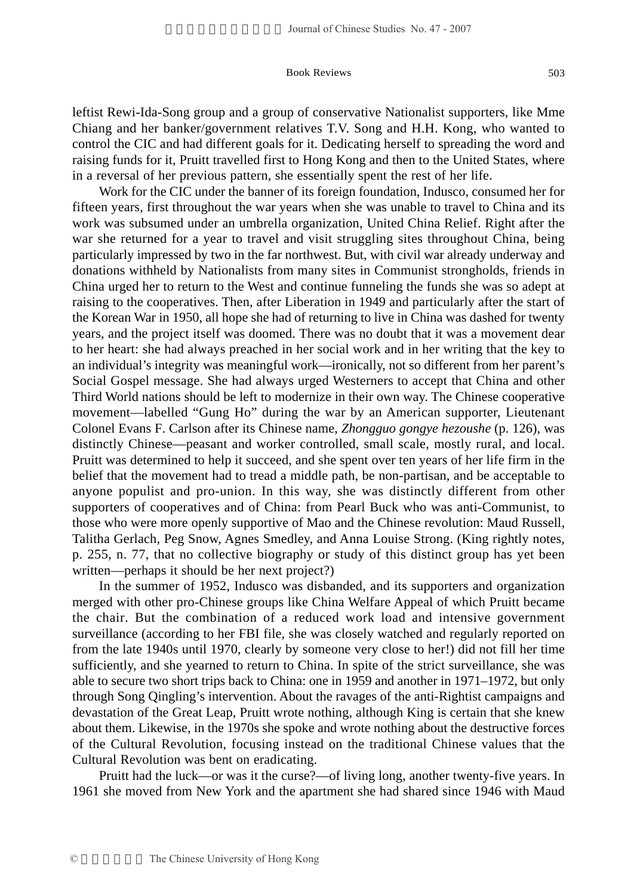Work for the CIC under the banner of its foreign foundation, Indusco, consumed her for fifteen years, first throughout the war years when she was unable to travel to China and its work was subsumed under an umbrella organization, United China Relief. Right after the war she returned for a year to travel and visit struggling sites throughout China, being particularly impressed by two in the far northwest. But, with civil war already underway and donations withheld by Nationalists from many sites in Communist strongholds, friends in China urged her to return to the West and continue funneling the funds she was so adept at raising to the cooperatives. Then, after Liberation in 1949 and particularly after the start of the Korean War in 1950, all hope she had of returning to live in China was dashed for twenty years, and the project itself was doomed. There was no doubt that it was a movement dear to her heart: she had always preached in her social work and in her writing that the key to an individual's integrity was meaningful work—ironically, not so different from her parent's Social Gospel message. She had always urged Westerners to accept that China and other Third World nations should be left to modernize in their own way. The Chinese cooperative movement—labelled "Gung Ho" during the war by an American supporter, Lieutenant Colonel Evans F. Carlson after its Chinese name, *Zhongguo gongye hezoushe* (p. 126), was distinctly Chinese—peasant and worker controlled, small scale, mostly rural, and local. Pruitt was determined to help it succeed, and she spent over ten years of her life firm in the belief that the movement had to tread a middle path, be non-partisan, and be acceptable to anyone populist and pro-union. In this way, she was distinctly different from other supporters of cooperatives and of China: from Pearl Buck who was anti-Communist, to those who were more openly supportive of Mao and the Chinese revolution: Maud Russell, Talitha Gerlach, Peg Snow, Agnes Smedley, and Anna Louise Strong. (King rightly notes, p. 255, n. 77, that no collective biography or study of this distinct group has yet been written—perhaps it should be her next project?)

In the summer of 1952, Indusco was disbanded, and its supporters and organization merged with other pro-Chinese groups like China Welfare Appeal of which Pruitt became the chair. But the combination of a reduced work load and intensive government surveillance (according to her FBI file, she was closely watched and regularly reported on from the late 1940s until 1970, clearly by someone very close to her!) did not fill her time sufficiently, and she yearned to return to China. In spite of the strict surveillance, she was able to secure two short trips back to China: one in 1959 and another in 1971–1972, but only through Song Qingling's intervention. About the ravages of the anti-Rightist campaigns and devastation of the Great Leap, Pruitt wrote nothing, although King is certain that she knew about them. Likewise, in the 1970s she spoke and wrote nothing about the destructive forces of the Cultural Revolution, focusing instead on the traditional Chinese values that the Cultural Revolution was bent on eradicating.

Pruitt had the luck—or was it the curse?—of living long, another twenty-five years. In 1961 she moved from New York and the apartment she had shared since 1946 with Maud